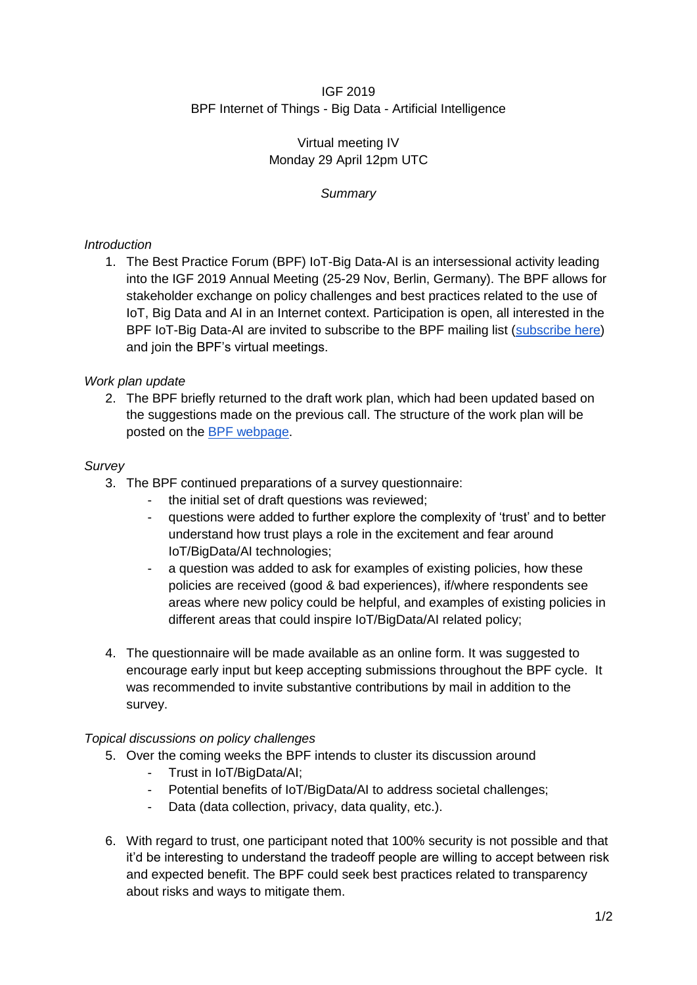## IGF 2019 BPF Internet of Things - Big Data - Artificial Intelligence

## Virtual meeting IV Monday 29 April 12pm UTC

# *Summary*

## *Introduction*

1. The Best Practice Forum (BPF) IoT-Big Data-AI is an intersessional activity leading into the IGF 2019 Annual Meeting (25-29 Nov, Berlin, Germany). The BPF allows for stakeholder exchange on policy challenges and best practices related to the use of IoT, Big Data and AI in an Internet context. Participation is open, all interested in the BPF IoT-Big Data-AI are invited to subscribe to the BPF mailing list [\(subscribe here\)](https://intgovforum.org/mailman/listinfo/aiiotbd_intgovforum.org) and join the BPF's virtual meetings.

## *Work plan update*

2. The BPF briefly returned to the draft work plan, which had been updated based on the suggestions made on the previous call. The structure of the work plan will be posted on the [BPF webpage.](https://www.intgovforum.org/multilingual/content/bpf-internet-of-things-iot-big-data-and-artificial-intelligence-ai)

### *Survey*

- 3. The BPF continued preparations of a survey questionnaire:
	- the initial set of draft questions was reviewed;
	- questions were added to further explore the complexity of 'trust' and to better understand how trust plays a role in the excitement and fear around IoT/BigData/AI technologies;
	- a question was added to ask for examples of existing policies, how these policies are received (good & bad experiences), if/where respondents see areas where new policy could be helpful, and examples of existing policies in different areas that could inspire IoT/BigData/AI related policy;
- 4. The questionnaire will be made available as an online form. It was suggested to encourage early input but keep accepting submissions throughout the BPF cycle. It was recommended to invite substantive contributions by mail in addition to the survey.

### *Topical discussions on policy challenges*

- 5. Over the coming weeks the BPF intends to cluster its discussion around
	- Trust in IoT/BigData/AI;
	- Potential benefits of IoT/BigData/AI to address societal challenges;
	- Data (data collection, privacy, data quality, etc.).
- 6. With regard to trust, one participant noted that 100% security is not possible and that it'd be interesting to understand the tradeoff people are willing to accept between risk and expected benefit. The BPF could seek best practices related to transparency about risks and ways to mitigate them.